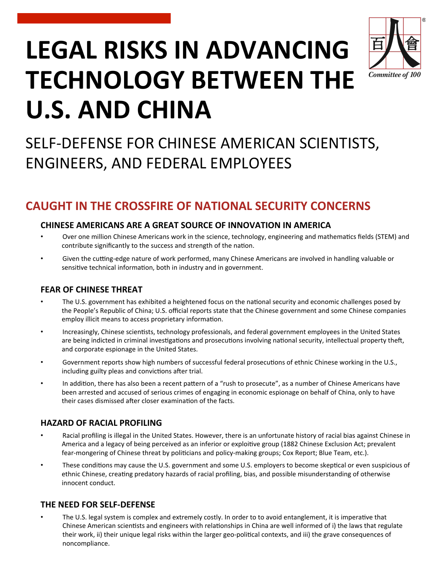# **LEGAL RISKS IN ADVANCING TECHNOLOGY BETWEEN THE** U.S. AND CHINA



# SELF-DEFENSE FOR CHINESE AMERICAN SCIENTISTS, ENGINEERS, AND FEDERAL EMPLOYEES

# **CAUGHT IN THE CROSSFIRE OF NATIONAL SECURITY CONCERNS**

#### **CHINESE AMERICANS ARE A GREAT SOURCE OF INNOVATION IN AMERICA**

- Over one million Chinese Americans work in the science, technology, engineering and mathematics fields (STEM) and contribute significantly to the success and strength of the nation.
- Given the cutting-edge nature of work performed, many Chinese Americans are involved in handling valuable or sensitive technical information, both in industry and in government.

#### **FEAR OF CHINESE THREAT**

- The U.S. government has exhibited a heightened focus on the national security and economic challenges posed by the People's Republic of China; U.S. official reports state that the Chinese government and some Chinese companies employ illicit means to access proprietary information.
- Increasingly, Chinese scientists, technology professionals, and federal government employees in the United States are being indicted in criminal investigations and prosecutions involving national security, intellectual property theft, and corporate espionage in the United States.
- Government reports show high numbers of successful federal prosecutions of ethnic Chinese working in the U.S., including guilty pleas and convictions after trial.
- In addition, there has also been a recent pattern of a "rush to prosecute", as a number of Chinese Americans have been arrested and accused of serious crimes of engaging in economic espionage on behalf of China, only to have their cases dismissed after closer examination of the facts.

#### **HAZARD OF RACIAL PROFILING**

- Racial profiling is illegal in the United States. However, there is an unfortunate history of racial bias against Chinese in America and a legacy of being perceived as an inferior or exploitive group (1882 Chinese Exclusion Act; prevalent fear-mongering of Chinese threat by politicians and policy-making groups; Cox Report; Blue Team, etc.).
- These conditions may cause the U.S. government and some U.S. employers to become skeptical or even suspicious of ethnic Chinese, creating predatory hazards of racial profiling, bias, and possible misunderstanding of otherwise innocent conduct.

#### **THE NEED FOR SELF-DEFENSE**

The U.S. legal system is complex and extremely costly. In order to to avoid entanglement, it is imperative that Chinese American scientists and engineers with relationships in China are well informed of i) the laws that regulate their work, ii) their unique legal risks within the larger geo-political contexts, and iii) the grave consequences of noncompliance.